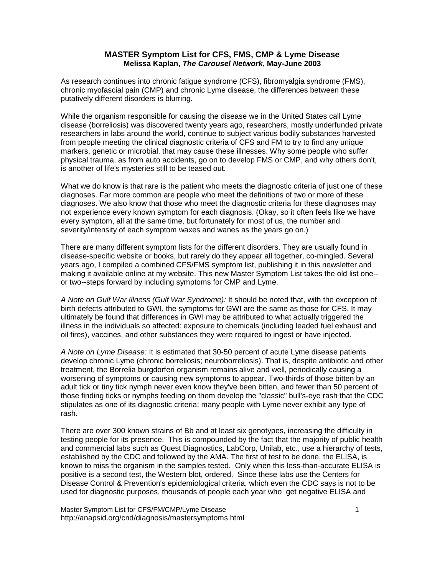# **MASTER Symptom List for CFS, FMS, CMP & Lyme Disease Melissa Kaplan,** *The Carousel Network***, May-June 2003**

As research continues into chronic fatigue syndrome (CFS), fibromyalgia syndrome (FMS), chronic myofascial pain (CMP) and chronic Lyme disease, the differences between these putatively different disorders is blurring.

While the organism responsible for causing the disease we in the United States call Lyme disease (borreliosis) was discovered twenty years ago, researchers, mostly underfunded private researchers in labs around the world, continue to subject various bodily substances harvested from people meeting the clinical diagnostic criteria of CFS and FM to try to find any unique markers, genetic or microbial, that may cause these illnesses. Why some people who suffer physical trauma, as from auto accidents, go on to develop FMS or CMP, and why others don't, is another of life's mysteries still to be teased out.

What we do know is that rare is the patient who meets the diagnostic criteria of just one of these diagnoses. Far more common are people who meet the definitions of two or more of these diagnoses. We also know that those who meet the diagnostic criteria for these diagnoses may not experience every known symptom for each diagnosis. (Okay, so it often feels like we have every symptom, all at the same time, but fortunately for most of us, the number and severity/intensity of each symptom waxes and wanes as the years go on.)

There are many different symptom lists for the different disorders. They are usually found in disease-specific website or books, but rarely do they appear all together, co-mingled. Several years ago, I compiled a combined CFS/FMS symptom list, publishing it in this newsletter and making it available online at my website. This new Master Symptom List takes the old list one- or two--steps forward by including symptoms for CMP and Lyme.

*A Note on Gulf War Illness (Gulf War Syndrome):* It should be noted that, with the exception of birth defects attributed to GWI, the symptoms for GWI are the same as those for CFS. It may ultimately be found that differences in GWI may be attributed to what actually triggered the illness in the individuals so affected: exposure to chemicals (including leaded fuel exhaust and oil fires), vaccines, and other substances they were required to ingest or have injected.

*A Note on Lyme Disease:* It is estimated that 30-50 percent of acute Lyme disease patients develop chronic Lyme (chronic borreliosis; neuroborreliosis). That is, despite antibiotic and other treatment, the Borrelia burgdorferi organism remains alive and well, periodically causing a worsening of symptoms or causing new symptoms to appear. Two-thirds of those bitten by an adult tick or tiny tick nymph never even know they've been bitten, and fewer than 50 percent of those finding ticks or nymphs feeding on them develop the "classic" bull's-eye rash that the CDC stipulates as one of its diagnostic criteria; many people with Lyme never exhibit any type of rash.

There are over 300 known strains of Bb and at least six genotypes, increasing the difficulty in testing people for its presence. This is compounded by the fact that the majority of public health and commercial labs such as Quest Diagnostics, LabCorp, Unilab, etc., use a hierarchy of tests, established by the CDC and followed by the AMA. The first of test to be done, the ELISA, is known to miss the organism in the samples tested. Only when this less-than-accurate ELISA is positive is a second test, the Western blot, ordered. Since these labs use the Centers for Disease Control & Prevention's epidemiological criteria, which even the CDC says is not to be used for diagnostic purposes, thousands of people each year who get negative ELISA and

Master Symptom List for CFS/FM/CMP/Lyme Disease 1 http://anapsid.org/cnd/diagnosis/mastersymptoms.html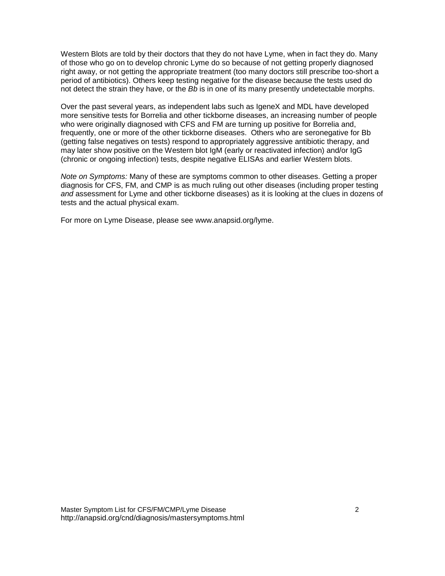Western Blots are told by their doctors that they do not have Lyme, when in fact they do. Many of those who go on to develop chronic Lyme do so because of not getting properly diagnosed right away, or not getting the appropriate treatment (too many doctors still prescribe too-short a period of antibiotics). Others keep testing negative for the disease because the tests used do not detect the strain they have, or the *Bb* is in one of its many presently undetectable morphs.

Over the past several years, as independent labs such as IgeneX and MDL have developed more sensitive tests for Borrelia and other tickborne diseases, an increasing number of people who were originally diagnosed with CFS and FM are turning up positive for Borrelia and, frequently, one or more of the other tickborne diseases. Others who are seronegative for Bb (getting false negatives on tests) respond to appropriately aggressive antibiotic therapy, and may later show positive on the Western blot IgM (early or reactivated infection) and/or IgG (chronic or ongoing infection) tests, despite negative ELISAs and earlier Western blots.

*Note on Symptoms:* Many of these are symptoms common to other diseases. Getting a proper diagnosis for CFS, FM, and CMP is as much ruling out other diseases (including proper testing *and* assessment for Lyme and other tickborne diseases) as it is looking at the clues in dozens of tests and the actual physical exam.

For more on Lyme Disease, please see www.anapsid.org/lyme.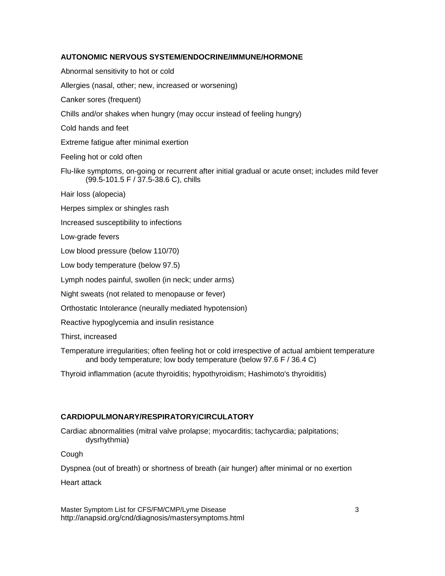# **AUTONOMIC NERVOUS SYSTEM/ENDOCRINE/IMMUNE/HORMONE**

Abnormal sensitivity to hot or cold Allergies (nasal, other; new, increased or worsening) Canker sores (frequent) Chills and/or shakes when hungry (may occur instead of feeling hungry) Cold hands and feet Extreme fatigue after minimal exertion Feeling hot or cold often Flu-like symptoms, on-going or recurrent after initial gradual or acute onset; includes mild fever (99.5-101.5 F / 37.5-38.6 C), chills Hair loss (alopecia) Herpes simplex or shingles rash Increased susceptibility to infections Low-grade fevers Low blood pressure (below 110/70) Low body temperature (below 97.5) Lymph nodes painful, swollen (in neck; under arms) Night sweats (not related to menopause or fever) Orthostatic Intolerance (neurally mediated hypotension) Reactive hypoglycemia and insulin resistance Thirst, increased Temperature irregularities; often feeling hot or cold irrespective of actual ambient temperature and body temperature; low body temperature (below 97.6 F / 36.4 C) Thyroid inflammation (acute thyroiditis; hypothyroidism; Hashimoto's thyroiditis)

# **CARDIOPULMONARY/RESPIRATORY/CIRCULATORY**

Cardiac abnormalities (mitral valve prolapse; myocarditis; tachycardia; palpitations; dysrhythmia)

**Cough** 

Dyspnea (out of breath) or shortness of breath (air hunger) after minimal or no exertion

Heart attack

Master Symptom List for CFS/FM/CMP/Lyme Disease 33 http://anapsid.org/cnd/diagnosis/mastersymptoms.html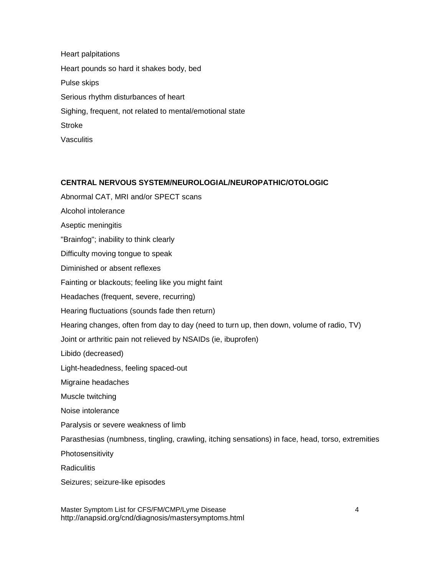Heart palpitations Heart pounds so hard it shakes body, bed Pulse skips Serious rhythm disturbances of heart Sighing, frequent, not related to mental/emotional state **Stroke Vasculitis** 

### **CENTRAL NERVOUS SYSTEM/NEUROLOGIAL/NEUROPATHIC/OTOLOGIC**

Abnormal CAT, MRI and/or SPECT scans Alcohol intolerance Aseptic meningitis "Brainfog"; inability to think clearly Difficulty moving tongue to speak Diminished or absent reflexes Fainting or blackouts; feeling like you might faint Headaches (frequent, severe, recurring) Hearing fluctuations (sounds fade then return) Hearing changes, often from day to day (need to turn up, then down, volume of radio, TV) Joint or arthritic pain not relieved by NSAIDs (ie, ibuprofen) Libido (decreased) Light-headedness, feeling spaced-out Migraine headaches Muscle twitching Noise intolerance Paralysis or severe weakness of limb Parasthesias (numbness, tingling, crawling, itching sensations) in face, head, torso, extremities Photosensitivity **Radiculitis** Seizures; seizure-like episodes

Master Symptom List for CFS/FM/CMP/Lyme Disease 4 http://anapsid.org/cnd/diagnosis/mastersymptoms.html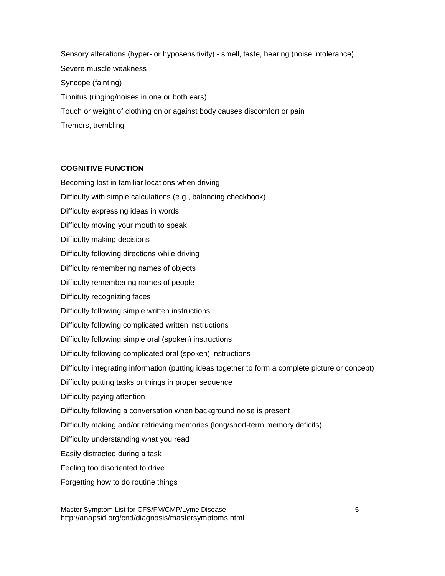Sensory alterations (hyper- or hyposensitivity) - smell, taste, hearing (noise intolerance) Severe muscle weakness Syncope (fainting) Tinnitus (ringing/noises in one or both ears) Touch or weight of clothing on or against body causes discomfort or pain Tremors, trembling

# **COGNITIVE FUNCTION**

Becoming lost in familiar locations when driving Difficulty with simple calculations (e.g., balancing checkbook) Difficulty expressing ideas in words Difficulty moving your mouth to speak Difficulty making decisions Difficulty following directions while driving Difficulty remembering names of objects Difficulty remembering names of people Difficulty recognizing faces Difficulty following simple written instructions Difficulty following complicated written instructions Difficulty following simple oral (spoken) instructions Difficulty following complicated oral (spoken) instructions Difficulty integrating information (putting ideas together to form a complete picture or concept) Difficulty putting tasks or things in proper sequence Difficulty paying attention Difficulty following a conversation when background noise is present Difficulty making and/or retrieving memories (long/short-term memory deficits) Difficulty understanding what you read Easily distracted during a task Feeling too disoriented to drive Forgetting how to do routine things

Master Symptom List for CFS/FM/CMP/Lyme Disease 5 http://anapsid.org/cnd/diagnosis/mastersymptoms.html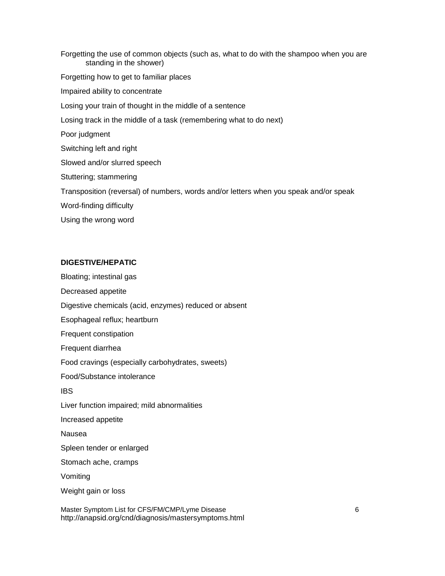Forgetting the use of common objects (such as, what to do with the shampoo when you are standing in the shower) Forgetting how to get to familiar places Impaired ability to concentrate Losing your train of thought in the middle of a sentence Losing track in the middle of a task (remembering what to do next) Poor judgment Switching left and right Slowed and/or slurred speech Stuttering; stammering Transposition (reversal) of numbers, words and/or letters when you speak and/or speak Word-finding difficulty Using the wrong word

# **DIGESTIVE/HEPATIC**

Bloating; intestinal gas

Decreased appetite

Digestive chemicals (acid, enzymes) reduced or absent

Esophageal reflux; heartburn

Frequent constipation

Frequent diarrhea

Food cravings (especially carbohydrates, sweets)

Food/Substance intolerance

IBS

Liver function impaired; mild abnormalities

Increased appetite

Nausea

Spleen tender or enlarged

Stomach ache, cramps

Vomiting

Weight gain or loss

Master Symptom List for CFS/FM/CMP/Lyme Disease 6 http://anapsid.org/cnd/diagnosis/mastersymptoms.html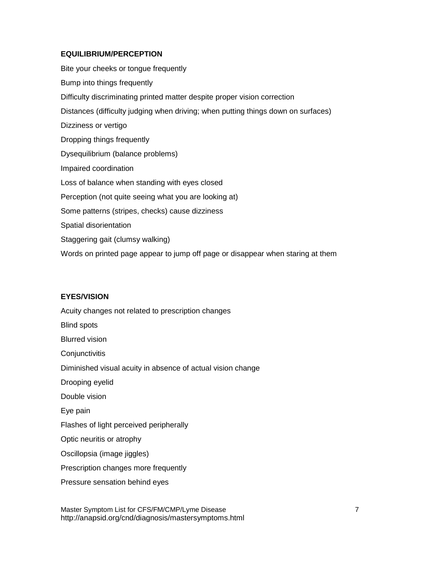### **EQUILIBRIUM/PERCEPTION**

Bite your cheeks or tongue frequently Bump into things frequently Difficulty discriminating printed matter despite proper vision correction Distances (difficulty judging when driving; when putting things down on surfaces) Dizziness or vertigo Dropping things frequently Dysequilibrium (balance problems) Impaired coordination Loss of balance when standing with eyes closed Perception (not quite seeing what you are looking at) Some patterns (stripes, checks) cause dizziness Spatial disorientation Staggering gait (clumsy walking) Words on printed page appear to jump off page or disappear when staring at them

# **EYES/VISION**

Acuity changes not related to prescription changes Blind spots Blurred vision **Conjunctivitis** Diminished visual acuity in absence of actual vision change Drooping eyelid Double vision Eye pain Flashes of light perceived peripherally Optic neuritis or atrophy Oscillopsia (image jiggles) Prescription changes more frequently Pressure sensation behind eyes

Master Symptom List for CFS/FM/CMP/Lyme Disease 7 7 http://anapsid.org/cnd/diagnosis/mastersymptoms.html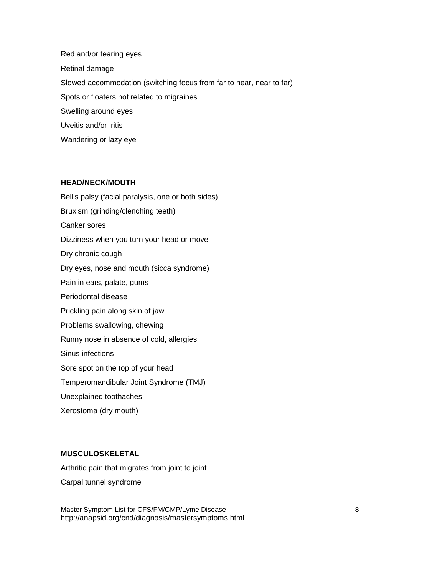Red and/or tearing eyes Retinal damage Slowed accommodation (switching focus from far to near, near to far) Spots or floaters not related to migraines Swelling around eyes Uveitis and/or iritis Wandering or lazy eye

#### **HEAD/NECK/MOUTH**

Bell's palsy (facial paralysis, one or both sides) Bruxism (grinding/clenching teeth) Canker sores Dizziness when you turn your head or move Dry chronic cough Dry eyes, nose and mouth (sicca syndrome) Pain in ears, palate, gums Periodontal disease Prickling pain along skin of jaw Problems swallowing, chewing Runny nose in absence of cold, allergies Sinus infections Sore spot on the top of your head Temperomandibular Joint Syndrome (TMJ) Unexplained toothaches Xerostoma (dry mouth)

# **MUSCULOSKELETAL**

Arthritic pain that migrates from joint to joint

Carpal tunnel syndrome

Master Symptom List for CFS/FM/CMP/Lyme Disease 88 http://anapsid.org/cnd/diagnosis/mastersymptoms.html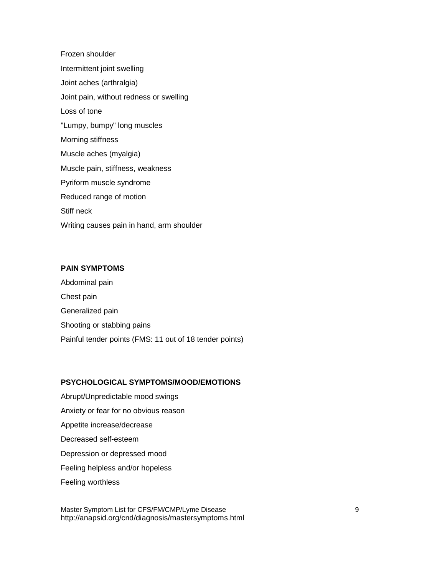Frozen shoulder Intermittent joint swelling Joint aches (arthralgia) Joint pain, without redness or swelling Loss of tone "Lumpy, bumpy" long muscles Morning stiffness Muscle aches (myalgia) Muscle pain, stiffness, weakness Pyriform muscle syndrome Reduced range of motion Stiff neck Writing causes pain in hand, arm shoulder

## **PAIN SYMPTOMS**

Abdominal pain Chest pain Generalized pain Shooting or stabbing pains Painful tender points (FMS: 11 out of 18 tender points)

# **PSYCHOLOGICAL SYMPTOMS/MOOD/EMOTIONS**

Abrupt/Unpredictable mood swings Anxiety or fear for no obvious reason Appetite increase/decrease Decreased self-esteem Depression or depressed mood Feeling helpless and/or hopeless Feeling worthless

Master Symptom List for CFS/FM/CMP/Lyme Disease 9 http://anapsid.org/cnd/diagnosis/mastersymptoms.html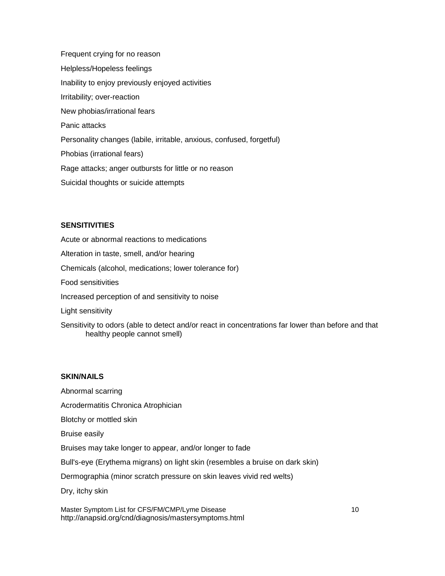Frequent crying for no reason Helpless/Hopeless feelings Inability to enjoy previously enjoyed activities Irritability; over-reaction New phobias/irrational fears Panic attacks Personality changes (labile, irritable, anxious, confused, forgetful) Phobias (irrational fears) Rage attacks; anger outbursts for little or no reason Suicidal thoughts or suicide attempts

# **SENSITIVITIES**

Acute or abnormal reactions to medications Alteration in taste, smell, and/or hearing Chemicals (alcohol, medications; lower tolerance for) Food sensitivities Increased perception of and sensitivity to noise Light sensitivity

Sensitivity to odors (able to detect and/or react in concentrations far lower than before and that healthy people cannot smell)

## **SKIN/NAILS**

Abnormal scarring Acrodermatitis Chronica Atrophician Blotchy or mottled skin Bruise easily Bruises may take longer to appear, and/or longer to fade Bull's-eye (Erythema migrans) on light skin (resembles a bruise on dark skin) Dermographia (minor scratch pressure on skin leaves vivid red welts) Dry, itchy skin

Master Symptom List for CFS/FM/CMP/Lyme Disease 10 10 http://anapsid.org/cnd/diagnosis/mastersymptoms.html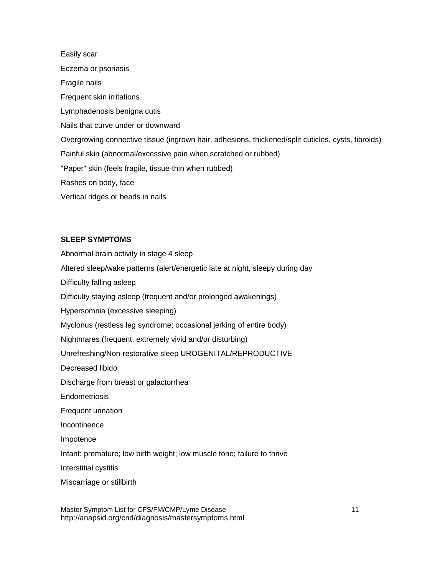Easily scar Eczema or psoriasis Fragile nails Frequent skin irritations Lymphadenosis benigna cutis Nails that curve under or downward Overgrowing connective tissue (ingrown hair, adhesions, thickened/split cuticles, cysts, fibroids) Painful skin (abnormal/excessive pain when scratched or rubbed) "Paper" skin (feels fragile, tissue-thin when rubbed) Rashes on body, face Vertical ridges or beads in nails

### **SLEEP SYMPTOMS**

Abnormal brain activity in stage 4 sleep Altered sleep/wake patterns (alert/energetic late at night, sleepy during day Difficulty falling asleep Difficulty staying asleep (frequent and/or prolonged awakenings) Hypersomnia (excessive sleeping) Myclonus (restless leg syndrome; occasional jerking of entire body) Nightmares (frequent, extremely vivid and/or disturbing) Unrefreshing/Non-restorative sleep UROGENITAL/REPRODUCTIVE Decreased libido Discharge from breast or galactorrhea **Endometriosis** Frequent urination **Incontinence** Impotence Infant: premature; low birth weight; low muscle tone; failure to thrive Interstitial cystitis Miscarriage or stillbirth

Master Symptom List for CFS/FM/CMP/Lyme Disease 11 11 http://anapsid.org/cnd/diagnosis/mastersymptoms.html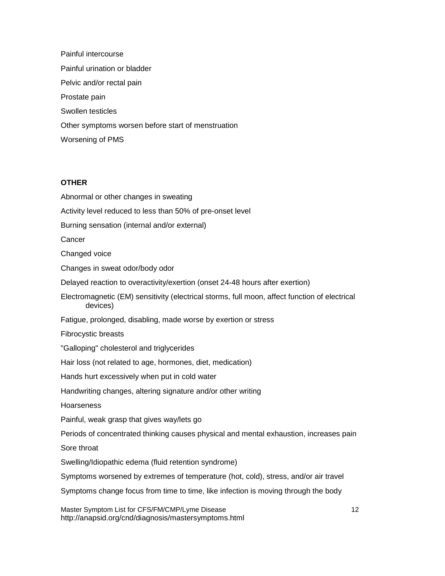Painful intercourse Painful urination or bladder Pelvic and/or rectal pain Prostate pain Swollen testicles Other symptoms worsen before start of menstruation Worsening of PMS

#### **OTHER**

Master Symptom List for CFS/FM/CMP/Lyme Disease 12 Abnormal or other changes in sweating Activity level reduced to less than 50% of pre-onset level Burning sensation (internal and/or external) **Cancer** Changed voice Changes in sweat odor/body odor Delayed reaction to overactivity/exertion (onset 24-48 hours after exertion) Electromagnetic (EM) sensitivity (electrical storms, full moon, affect function of electrical devices) Fatigue, prolonged, disabling, made worse by exertion or stress Fibrocystic breasts "Galloping" cholesterol and triglycerides Hair loss (not related to age, hormones, diet, medication) Hands hurt excessively when put in cold water Handwriting changes, altering signature and/or other writing **Hoarseness** Painful, weak grasp that gives way/lets go Periods of concentrated thinking causes physical and mental exhaustion, increases pain Sore throat Swelling/Idiopathic edema (fluid retention syndrome) Symptoms worsened by extremes of temperature (hot, cold), stress, and/or air travel Symptoms change focus from time to time, like infection is moving through the body

http://anapsid.org/cnd/diagnosis/mastersymptoms.html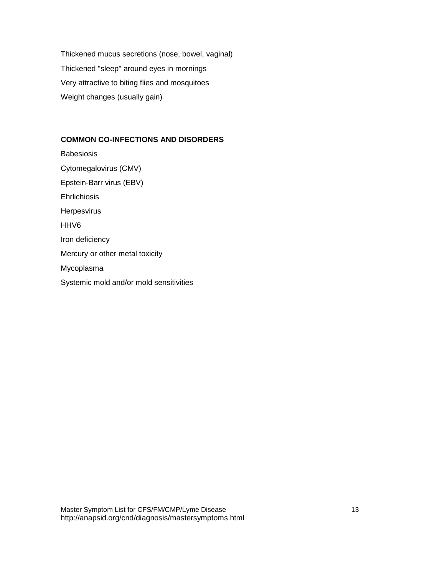Thickened mucus secretions (nose, bowel, vaginal) Thickened "sleep" around eyes in mornings Very attractive to biting flies and mosquitoes Weight changes (usually gain)

# **COMMON CO-INFECTIONS AND DISORDERS**

**Babesiosis** Cytomegalovirus (CMV) Epstein-Barr virus (EBV) **Ehrlichiosis Herpesvirus** HHV6 Iron deficiency Mercury or other metal toxicity Mycoplasma Systemic mold and/or mold sensitivities